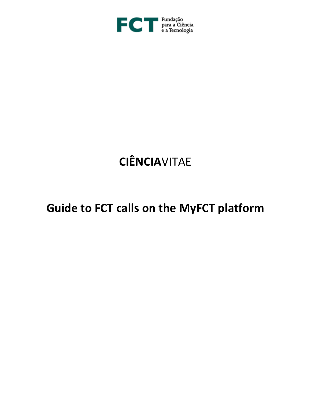

# **CIÊNCIA**VITAE

# **Guide to FCT calls on the MyFCT platform**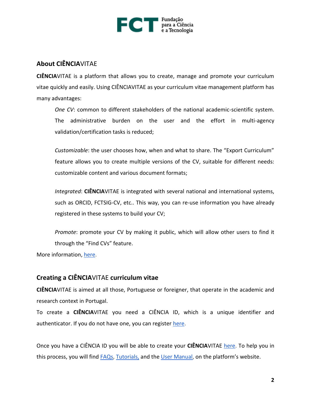

## **About CIÊNCIA**VITAE

**CIÊNCIA**VITAE is a platform that allows you to create, manage and promote your curriculum vitae quickly and easily. Using CIÊNCIAVITAE as your curriculum vitae management platform has many advantages:

*One CV*: common to different stakeholders of the national academic-scientific system. The administrative burden on the user and the effort in multi-agency validation/certification tasks is reduced;

*Customizable*: the user chooses how, when and what to share. The "Export Curriculum" feature allows you to create multiple versions of the CV, suitable for different needs: customizable content and various document formats;

*Integrated*: **CIÊNCIA**VITAE is integrated with several national and international systems, such as ORCID, FCTSIG-CV, etc.. This way, you can re-use information you have already registered in these systems to build your CV;

*Promote*: promote your CV by making it public, which will allow other users to find it through the "Find CVs" feature.

More information, [here.](https://www.cienciavitae.pt/mais-informacao/?lang=en)

## **Creating a CIÊNCIA**VITAE **curriculum vitae**

**CIÊNCIA**VITAE is aimed at all those, Portuguese or foreigner, that operate in the academic and research context in Portugal.

To create a **CIÊNCIA**VITAE you need a CIÊNCIA ID, which is a unique identifier and authenticator. If you do not have one, you can register [here.](http://www.ciencia-id.pt/)

Once you have a CIÊNCIA ID you will be able to create your **CIÊNCIA**VITAE [here.](http://www.cienciavitae.pt/) To help you in this process, you will find [FAQs,](https://www.cienciavitae.pt/perguntas-frequentes/?lang=en) [Tutorials,](https://www.cienciavitae.pt/tutoriais/?lang=en) and the [User Manual,](https://www.cienciavitae.pt/uploads/2018/11/User-Guide_CI%C3%8ANCIAVITAE.pdf) on the platform's website.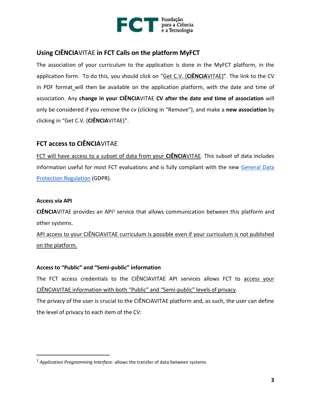

# **Using CIÊNCIA**VITAE **in FCT Calls on the platform MyFCT**

The association of your curriculum to the application is done in the MyFCT platform, in the application form. To do this, you should click on "Get C.V. (**CIÊNCIA**VITAE)". The link to the CV in PDF format will then be available on the application platform, with the date and time of association. Any **change in your CIÊNCIA**VITAE **CV after the date and time of association** will only be considered if you remove the cv (clicking in "Remove"), and make a **new association** by clicking in "Get C.V. (**CIÊNCIA**VITAE)".

# **FCT access to CIÊNCIA**VITAE

FCT will have access to a subset of data from your **CIÊNCIA**VITAE. This subset of data includes information useful for most FCT evaluations and is fully compliant with the new [General Data](https://eur-lex.europa.eu/eli/reg/2016/679/oj?locale=en)  [Protection Regulation](https://eur-lex.europa.eu/eli/reg/2016/679/oj?locale=en) (GDPR).

### **Access via API**

 $\overline{a}$ 

CIÊNCIAVITAE provides an API<sup>1</sup> service that allows communication between this platform and other systems.

API access to your CIÊNCIAVITAE curriculum is possible even if your curriculum is not published on the platform.

#### **Access to "Public" and "Semi-public" information**

The FCT access credentials to the CIÊNCIAVITAE API services allows FCT to access your CIÊNCIAVITAE information with both "Public" and "Semi-public" levels of privacy.

The privacy of the user is crucial to the CIÊNCIAVITAE platform and, as such, the user can define the level of privacy to each item of the CV:

<sup>1</sup> *Application Programming Interface*: allows the transfer of data between systems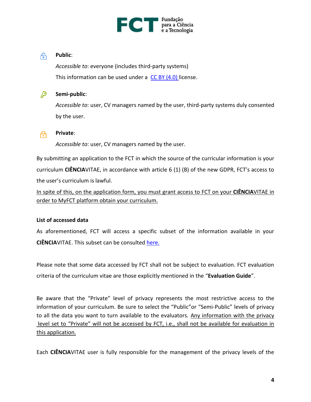

#### டு **Public**:

*Accessible to*: everyone (includes third-party systems) This information can be used under a  $CC$  BY  $(4.0)$  license.



#### **Semi-public**:

*Accessible to*: user, CV managers named by the user, third-party systems duly consented by the user.



#### **Private**:

*Accessible to*: user, CV managers named by the user.

By submitting an application to the FCT in which the source of the curricular information is your curriculum **CIÊNCIA**VITAE, in accordance with article 6 (1) (B) of the new GDPR, FCT's access to the user's curriculum is lawful.

In spite of this, on the application form, you must grant access to FCT on your **CIÊNCIA**VITAE in order to MyFCT platform obtain your curriculum.

#### **List of accessed data**

As aforementioned, FCT will access a specific subset of the information available in your **CIÊNCIA**VITAE. This subset can be consulted [here.](https://www.fct.pt/documentos/cienciavitae/CIENCIAVITAE_Semantics_Jan2019.xlsx)

Please note that some data accessed by FCT shall not be subject to evaluation. FCT evaluation criteria of the curriculum vitae are those explicitly mentioned in the "**Evaluation Guide**".

Be aware that the "Private" level of privacy represents the most restrictive access to the information of your curriculum. Be sure to select the "Public"or "Semi-Public" levels of privacy to all the data you want to turn available to the evaluators. Any information with the privacy level set to "Private" will not be accessed by FCT, i.e., shall not be available for evaluation in this application.

Each **CIÊNCIA**VITAE user is fully responsible for the management of the privacy levels of the